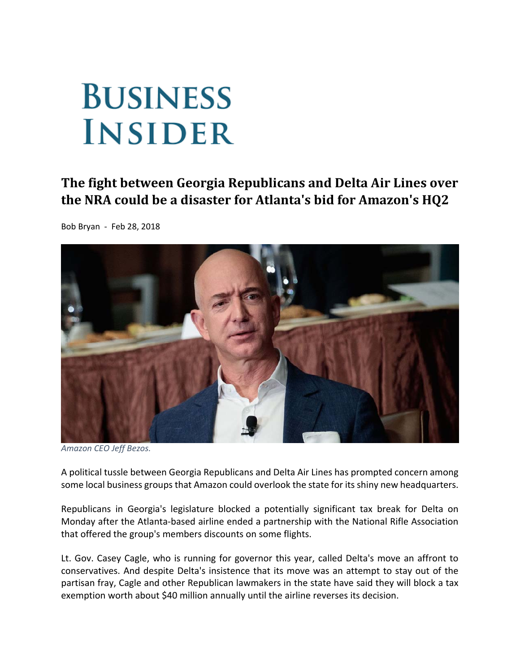## **BUSINESS INSIDER**

## **The fight between Georgia Republicans and Delta Air Lines over the NRA could be a disaster for Atlanta's bid for Amazon's HQ2**

Bob Bryan ‐ Feb 28, 2018



*Amazon CEO Jeff Bezos.*

A political tussle between Georgia Republicans and Delta Air Lines has prompted concern among some local business groups that Amazon could overlook the state for its shiny new headquarters.

Republicans in Georgia's legislature blocked a potentially significant tax break for Delta on Monday after the Atlanta‐based airline ended a partnership with the National Rifle Association that offered the group's members discounts on some flights.

Lt. Gov. Casey Cagle, who is running for governor this year, called Delta's move an affront to conservatives. And despite Delta's insistence that its move was an attempt to stay out of the partisan fray, Cagle and other Republican lawmakers in the state have said they will block a tax exemption worth about \$40 million annually until the airline reverses its decision.